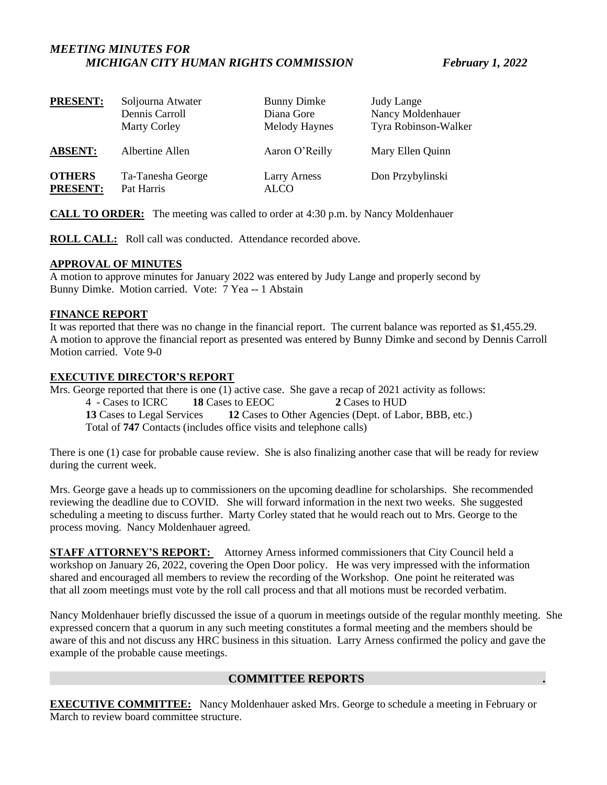# *MEETING MINUTES FOR MICHIGAN CITY HUMAN RIGHTS COMMISSION February 1, 2022*

| <b>PRESENT:</b> | Soljourna Atwater   | <b>Bunny Dimke</b>  | <b>Judy Lange</b>    |
|-----------------|---------------------|---------------------|----------------------|
|                 | Dennis Carroll      | Diana Gore          | Nancy Moldenhauer    |
|                 | <b>Marty Corley</b> | Melody Haynes       | Tyra Robinson-Walker |
| <b>ABSENT:</b>  | Albertine Allen     | Aaron O'Reilly      | Mary Ellen Quinn     |
| <b>OTHERS</b>   | Ta-Tanesha George   | <b>Larry Arness</b> | Don Przybylinski     |
| <b>PRESENT:</b> | Pat Harris          | <b>ALCO</b>         |                      |

**CALL TO ORDER:** The meeting was called to order at 4:30 p.m. by Nancy Moldenhauer

**ROLL CALL:** Roll call was conducted. Attendance recorded above.

#### **APPROVAL OF MINUTES**

A motion to approve minutes for January 2022 was entered by Judy Lange and properly second by Bunny Dimke. Motion carried. Vote: 7 Yea -- 1 Abstain

#### **FINANCE REPORT**

It was reported that there was no change in the financial report. The current balance was reported as \$1,455.29. A motion to approve the financial report as presented was entered by Bunny Dimke and second by Dennis Carroll Motion carried. Vote 9-0

# **EXECUTIVE DIRECTOR'S REPORT**

Mrs. George reported that there is one (1) active case. She gave a recap of 2021 activity as follows: 4 - Cases to ICRC **18** Cases to EEOC **2** Cases to HUD **13** Cases to Legal Services **12** Cases to Other Agencies (Dept. of Labor, BBB, etc.) Total of **747** Contacts (includes office visits and telephone calls)

There is one (1) case for probable cause review. She is also finalizing another case that will be ready for review during the current week.

Mrs. George gave a heads up to commissioners on the upcoming deadline for scholarships. She recommended reviewing the deadline due to COVID. She will forward information in the next two weeks. She suggested scheduling a meeting to discuss further. Marty Corley stated that he would reach out to Mrs. George to the process moving. Nancy Moldenhauer agreed.

**STAFF ATTORNEY'S REPORT:** Attorney Arness informed commissioners that City Council held a workshop on January 26, 2022, covering the Open Door policy. He was very impressed with the information shared and encouraged all members to review the recording of the Workshop. One point he reiterated was that all zoom meetings must vote by the roll call process and that all motions must be recorded verbatim.

Nancy Moldenhauer briefly discussed the issue of a quorum in meetings outside of the regular monthly meeting. She expressed concern that a quorum in any such meeting constitutes a formal meeting and the members should be aware of this and not discuss any HRC business in this situation. Larry Arness confirmed the policy and gave the example of the probable cause meetings.

# **COMMITTEE REPORTS .**

**EXECUTIVE COMMITTEE:** Nancy Moldenhauer asked Mrs. George to schedule a meeting in February or March to review board committee structure.